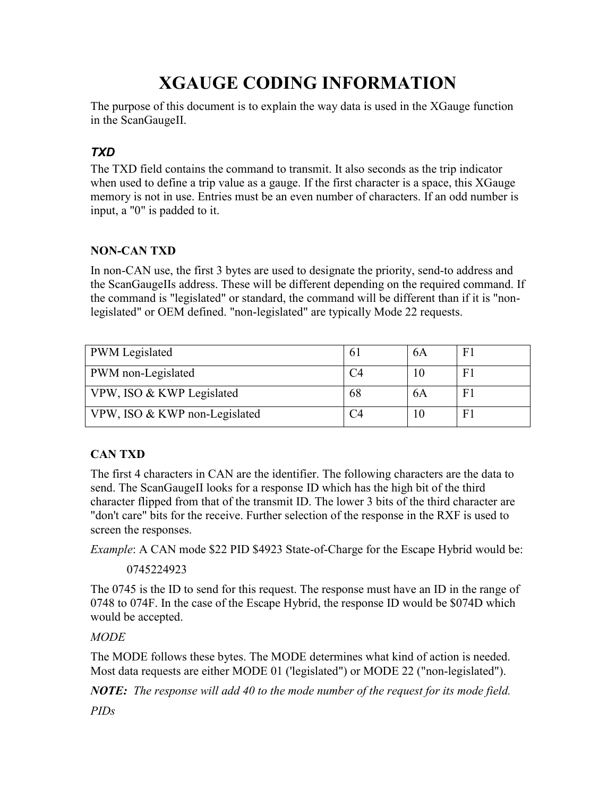# XGAUGE CODING INFORMATION

The purpose of this document is to explain the way data is used in the XGauge function in the ScanGaugeII.

# TXD

The TXD field contains the command to transmit. It also seconds as the trip indicator when used to define a trip value as a gauge. If the first character is a space, this XGauge memory is not in use. Entries must be an even number of characters. If an odd number is input, a "0" is padded to it.

## NON-CAN TXD

In non-CAN use, the first 3 bytes are used to designate the priority, send-to address and the ScanGaugeIIs address. These will be different depending on the required command. If the command is "legislated" or standard, the command will be different than if it is "nonlegislated" or OEM defined. "non-legislated" are typically Mode 22 requests.

| <b>PWM</b> Legislated         | 6  | 6A | F1 |
|-------------------------------|----|----|----|
| PWM non-Legislated            |    |    | F1 |
| VPW, ISO & KWP Legislated     | 68 | 6A | F1 |
| VPW, ISO & KWP non-Legislated |    | 10 | F1 |

## CAN TXD

The first 4 characters in CAN are the identifier. The following characters are the data to send. The ScanGaugeII looks for a response ID which has the high bit of the third character flipped from that of the transmit ID. The lower 3 bits of the third character are "don't care" bits for the receive. Further selection of the response in the RXF is used to screen the responses.

Example: A CAN mode \$22 PID \$4923 State-of-Charge for the Escape Hybrid would be:

## 0745224923

The 0745 is the ID to send for this request. The response must have an ID in the range of 0748 to 074F. In the case of the Escape Hybrid, the response ID would be \$074D which would be accepted.

## MODE

The MODE follows these bytes. The MODE determines what kind of action is needed. Most data requests are either MODE 01 ('legislated") or MODE 22 ("non-legislated").

**NOTE:** The response will add 40 to the mode number of the request for its mode field.

PIDs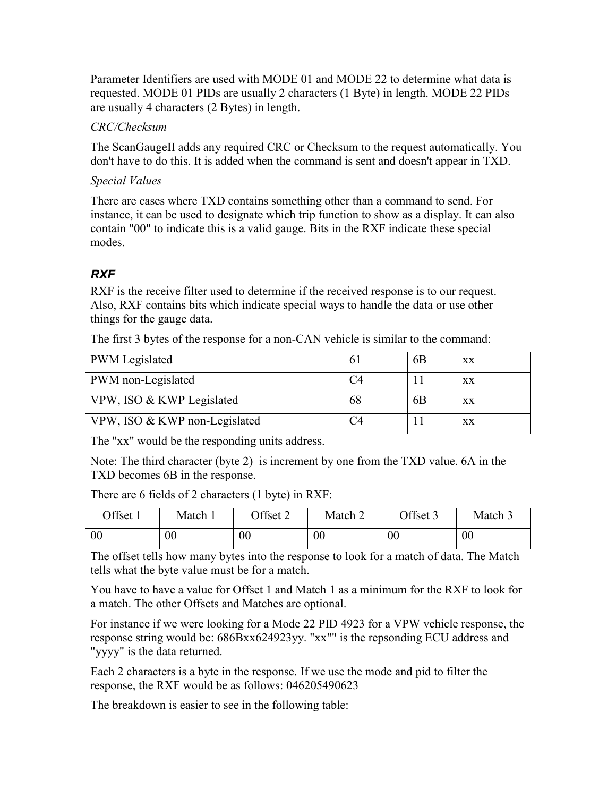Parameter Identifiers are used with MODE 01 and MODE 22 to determine what data is requested. MODE 01 PIDs are usually 2 characters (1 Byte) in length. MODE 22 PIDs are usually 4 characters (2 Bytes) in length.

#### CRC/Checksum

The ScanGaugeII adds any required CRC or Checksum to the request automatically. You don't have to do this. It is added when the command is sent and doesn't appear in TXD.

#### Special Values

There are cases where TXD contains something other than a command to send. For instance, it can be used to designate which trip function to show as a display. It can also contain "00" to indicate this is a valid gauge. Bits in the RXF indicate these special modes.

## RXF

RXF is the receive filter used to determine if the received response is to our request. Also, RXF contains bits which indicate special ways to handle the data or use other things for the gauge data.

| The first 3 bytes of the response for a non-CAN vehicle is similar to the command: |  |
|------------------------------------------------------------------------------------|--|
|------------------------------------------------------------------------------------|--|

| <b>PWM</b> Legislated         | 6 <sub>1</sub> | 6 <sub>B</sub> | XX |
|-------------------------------|----------------|----------------|----|
| <b>PWM</b> non-Legislated     |                |                | XX |
| VPW, ISO & KWP Legislated     | 68             | 6 <sub>B</sub> | XX |
| VPW, ISO & KWP non-Legislated |                |                | XX |

The "xx" would be the responding units address.

Note: The third character (byte 2) is increment by one from the TXD value. 6A in the TXD becomes 6B in the response.

There are 6 fields of 2 characters (1 byte) in RXF:

| Offset 1 | Match 1 | Offset 2 | Match 2 | Offset 3       | Match 3 |
|----------|---------|----------|---------|----------------|---------|
| 00       | $00\,$  | $00\,$   | $00\,$  | 0 <sub>0</sub> | $00\,$  |

The offset tells how many bytes into the response to look for a match of data. The Match tells what the byte value must be for a match.

You have to have a value for Offset 1 and Match 1 as a minimum for the RXF to look for a match. The other Offsets and Matches are optional.

For instance if we were looking for a Mode 22 PID 4923 for a VPW vehicle response, the response string would be: 686Bxx624923yy. "xx"" is the repsonding ECU address and "yyyy" is the data returned.

Each 2 characters is a byte in the response. If we use the mode and pid to filter the response, the RXF would be as follows: 046205490623

The breakdown is easier to see in the following table: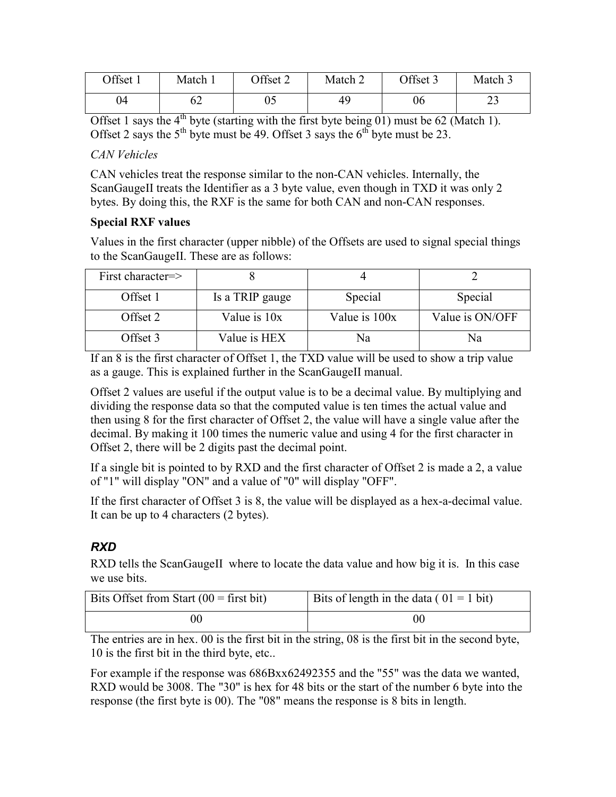| Offset 1 | Match $\overline{1}$ | Offset 2 | Match 2 | Offset 3 | Match 3    |
|----------|----------------------|----------|---------|----------|------------|
| 04       | 02                   | ບປ       | 49      | 06       | n g<br>ر ب |

Offset 1 says the  $4<sup>th</sup>$  byte (starting with the first byte being 01) must be 62 (Match 1). Offset 2 says the  $5<sup>th</sup>$  byte must be 49. Offset 3 says the  $6<sup>th</sup>$  byte must be 23.

#### CAN Vehicles

CAN vehicles treat the response similar to the non-CAN vehicles. Internally, the ScanGaugeII treats the Identifier as a 3 byte value, even though in TXD it was only 2 bytes. By doing this, the RXF is the same for both CAN and non-CAN responses.

#### Special RXF values

Values in the first character (upper nibble) of the Offsets are used to signal special things to the ScanGaugeII. These are as follows:

| First character=> |                 |               |                 |
|-------------------|-----------------|---------------|-----------------|
| Offset 1          | Is a TRIP gauge | Special       | Special         |
| Offset 2          | Value is 10x    | Value is 100x | Value is ON/OFF |
| Offset 3          | Value is HEX    | Na            | Nа              |

If an 8 is the first character of Offset 1, the TXD value will be used to show a trip value as a gauge. This is explained further in the ScanGaugeII manual.

Offset 2 values are useful if the output value is to be a decimal value. By multiplying and dividing the response data so that the computed value is ten times the actual value and then using 8 for the first character of Offset 2, the value will have a single value after the decimal. By making it 100 times the numeric value and using 4 for the first character in Offset 2, there will be 2 digits past the decimal point.

If a single bit is pointed to by RXD and the first character of Offset 2 is made a 2, a value of "1" will display "ON" and a value of "0" will display "OFF".

If the first character of Offset 3 is 8, the value will be displayed as a hex-a-decimal value. It can be up to 4 characters (2 bytes).

## RXD

RXD tells the ScanGaugeII where to locate the data value and how big it is. In this case we use bits.

| Bits Offset from Start $(00 =$ first bit) | Bits of length in the data ( $01 = 1$ bit) |
|-------------------------------------------|--------------------------------------------|
|                                           | OC                                         |

The entries are in hex. 00 is the first bit in the string, 08 is the first bit in the second byte, 10 is the first bit in the third byte, etc..

For example if the response was 686Bxx62492355 and the "55" was the data we wanted, RXD would be 3008. The "30" is hex for 48 bits or the start of the number 6 byte into the response (the first byte is 00). The "08" means the response is 8 bits in length.